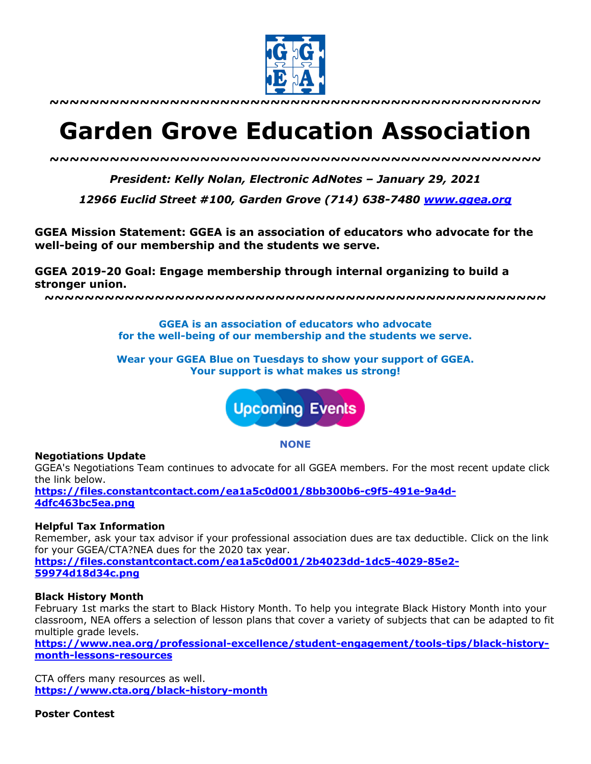

**~~~~~~~~~~~~~~~~~~~~~~~~~~~~~~~~~~~~~~~~~~~~~~~~~**

# **Garden Grove Education Association**

*~~~~~~~~~~~~~~~~~~~~~~~~~~~~~~~~~~~~~~~~~~~~~~~~~*

*President: Kelly Nolan, Electronic AdNotes – January 29, 2021*

*12966 Euclid Street #100, Garden Grove (714) 638-7480 www.ggea.org*

**GGEA Mission Statement: GGEA is an association of educators who advocate for the well-being of our membership and the students we serve.** 

**GGEA 2019-20 Goal: Engage membership through internal organizing to build a stronger union.**

**~~~~~~~~~~~~~~~~~~~~~~~~~~~~~~~~~~~~~~~~~~~~~~~~~~**

**GGEA is an association of educators who advocate for the well-being of our membership and the students we serve.**

**Wear your GGEA Blue on Tuesdays to show your support of GGEA. Your support is what makes us strong!**



**NONE**

## **Negotiations Update**

GGEA's Negotiations Team continues to advocate for all GGEA members. For the most recent update click the link below.

**https://files.constantcontact.com/ea1a5c0d001/8bb300b6-c9f5-491e-9a4d-4dfc463bc5ea.png**

## **Helpful Tax Information**

Remember, ask your tax advisor if your professional association dues are tax deductible. Click on the link for your GGEA/CTA?NEA dues for the 2020 tax year. **https://files.constantcontact.com/ea1a5c0d001/2b4023dd-1dc5-4029-85e2-**

**59974d18d34c.png**

## **Black History Month**

February 1st marks the start to Black History Month. To help you integrate Black History Month into your classroom, NEA offers a selection of lesson plans that cover a variety of subjects that can be adapted to fit multiple grade levels.

**https://www.nea.org/professional-excellence/student-engagement/tools-tips/black-historymonth-lessons-resources**

CTA offers many resources as well. **https://www.cta.org/black-history-month**

**Poster Contest**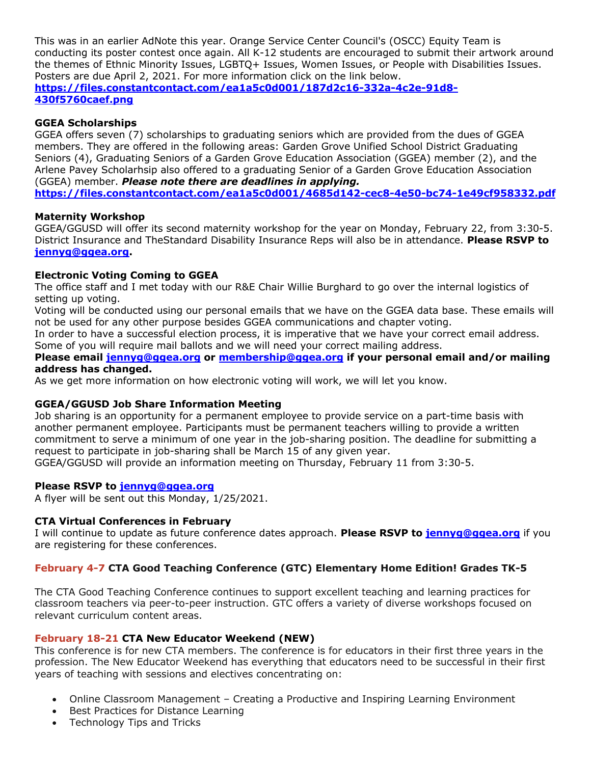This was in an earlier AdNote this year. Orange Service Center Council's (OSCC) Equity Team is conducting its poster contest once again. All K-12 students are encouraged to submit their artwork around the themes of Ethnic Minority Issues, LGBTQ+ Issues, Women Issues, or People with Disabilities Issues. Posters are due April 2, 2021. For more information click on the link below. **https://files.constantcontact.com/ea1a5c0d001/187d2c16-332a-4c2e-91d8- 430f5760caef.png**

# **GGEA Scholarships**

GGEA offers seven (7) scholarships to graduating seniors which are provided from the dues of GGEA members. They are offered in the following areas: Garden Grove Unified School District Graduating Seniors (4), Graduating Seniors of a Garden Grove Education Association (GGEA) member (2), and the Arlene Pavey Scholarhsip also offered to a graduating Senior of a Garden Grove Education Association (GGEA) member. *Please note there are deadlines in applying.*  **https://files.constantcontact.com/ea1a5c0d001/4685d142-cec8-4e50-bc74-1e49cf958332.pdf**

## **Maternity Workshop**

GGEA/GGUSD will offer its second maternity workshop for the year on Monday, February 22, from 3:30-5. District Insurance and TheStandard Disability Insurance Reps will also be in attendance. **Please RSVP to jennyg@ggea.org.**

# **Electronic Voting Coming to GGEA**

The office staff and I met today with our R&E Chair Willie Burghard to go over the internal logistics of setting up voting.

Voting will be conducted using our personal emails that we have on the GGEA data base. These emails will not be used for any other purpose besides GGEA communications and chapter voting.

In order to have a successful election process, it is imperative that we have your correct email address. Some of you will require mail ballots and we will need your correct mailing address.

#### **Please email jennyg@ggea.org or membership@ggea.org if your personal email and/or mailing address has changed.**

As we get more information on how electronic voting will work, we will let you know.

## **GGEA/GGUSD Job Share Information Meeting**

Job sharing is an opportunity for a permanent employee to provide service on a part-time basis with another permanent employee. Participants must be permanent teachers willing to provide a written commitment to serve a minimum of one year in the job-sharing position. The deadline for submitting a request to participate in job-sharing shall be March 15 of any given year.

GGEA/GGUSD will provide an information meeting on Thursday, February 11 from 3:30-5.

## **Please RSVP to jennyg@ggea.org**

A flyer will be sent out this Monday, 1/25/2021.

## **CTA Virtual Conferences in February**

I will continue to update as future conference dates approach. **Please RSVP to jennyg@ggea.org** if you are registering for these conferences.

# **February 4-7 CTA Good Teaching Conference (GTC) Elementary Home Edition! Grades TK-5**

The CTA Good Teaching Conference continues to support excellent teaching and learning practices for classroom teachers via peer-to-peer instruction. GTC offers a variety of diverse workshops focused on relevant curriculum content areas.

## **February 18-21 CTA New Educator Weekend (NEW)**

This conference is for new CTA members. The conference is for educators in their first three years in the profession. The New Educator Weekend has everything that educators need to be successful in their first years of teaching with sessions and electives concentrating on:

- Online Classroom Management Creating a Productive and Inspiring Learning Environment
- Best Practices for Distance Learning
- Technology Tips and Tricks